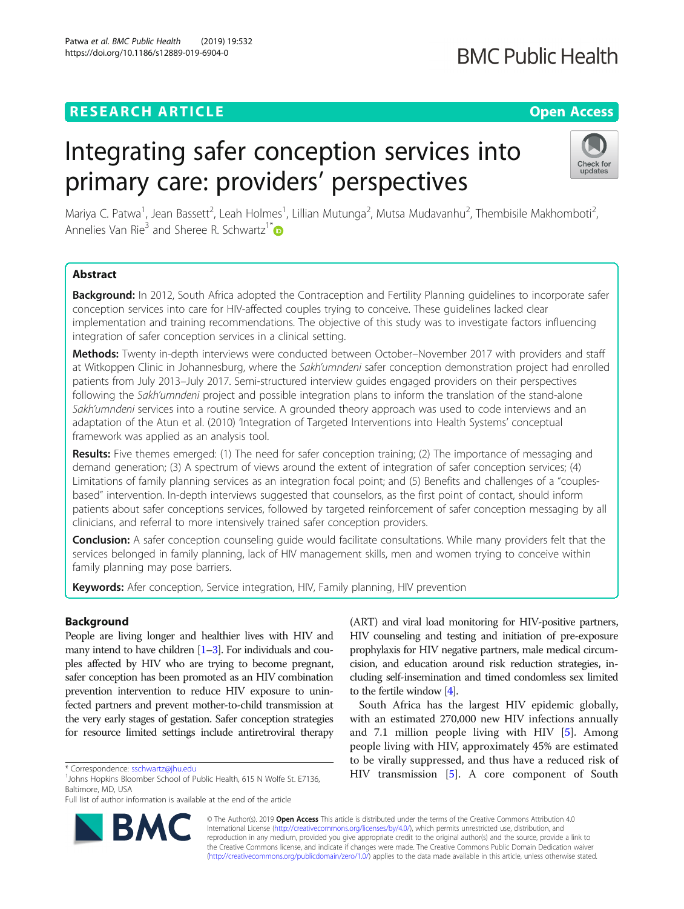# **RESEARCH ARTICLE CONSIDERING A RESEARCH ARTICLE**

# Integrating safer conception services into primary care: providers' perspectives

Mariya C. Patwa<sup>1</sup>, Jean Bassett<sup>2</sup>, Leah Holmes<sup>1</sup>, Lillian Mutunga<sup>2</sup>, Mutsa Mudavanhu<sup>2</sup>, Thembisile Makhomboti<sup>2</sup> .<br>, Annelies Van Rie<sup>3</sup> and Sheree R. Schwartz<sup>1\*</sup>

# Abstract

Background: In 2012, South Africa adopted the Contraception and Fertility Planning quidelines to incorporate safer conception services into care for HIV-affected couples trying to conceive. These guidelines lacked clear implementation and training recommendations. The objective of this study was to investigate factors influencing integration of safer conception services in a clinical setting.

Methods: Twenty in-depth interviews were conducted between October–November 2017 with providers and staff at Witkoppen Clinic in Johannesburg, where the Sakh'umndeni safer conception demonstration project had enrolled patients from July 2013–July 2017. Semi-structured interview guides engaged providers on their perspectives following the Sakh'umndeni project and possible integration plans to inform the translation of the stand-alone Sakh'umndeni services into a routine service. A grounded theory approach was used to code interviews and an adaptation of the Atun et al. (2010) 'Integration of Targeted Interventions into Health Systems' conceptual framework was applied as an analysis tool.

Results: Five themes emerged: (1) The need for safer conception training; (2) The importance of messaging and demand generation; (3) A spectrum of views around the extent of integration of safer conception services; (4) Limitations of family planning services as an integration focal point; and (5) Benefits and challenges of a "couplesbased" intervention. In-depth interviews suggested that counselors, as the first point of contact, should inform patients about safer conceptions services, followed by targeted reinforcement of safer conception messaging by all clinicians, and referral to more intensively trained safer conception providers.

Conclusion: A safer conception counseling quide would facilitate consultations. While many providers felt that the services belonged in family planning, lack of HIV management skills, men and women trying to conceive within family planning may pose barriers.

Keywords: Afer conception, Service integration, HIV, Family planning, HIV prevention

## Background

People are living longer and healthier lives with HIV and many intend to have children  $[1-3]$  $[1-3]$  $[1-3]$  $[1-3]$ . For individuals and couples affected by HIV who are trying to become pregnant, safer conception has been promoted as an HIV combination prevention intervention to reduce HIV exposure to uninfected partners and prevent mother-to-child transmission at the very early stages of gestation. Safer conception strategies for resource limited settings include antiretroviral therapy

\* Correspondence: [sschwartz@jhu.edu](mailto:sschwartz@jhu.edu) <sup>1</sup>

Full list of author information is available at the end of the article

(ART) and viral load monitoring for HIV-positive partners, HIV counseling and testing and initiation of pre-exposure prophylaxis for HIV negative partners, male medical circumcision, and education around risk reduction strategies, including self-insemination and timed condomless sex limited to the fertile window [\[4](#page-8-0)].

South Africa has the largest HIV epidemic globally, with an estimated 270,000 new HIV infections annually and 7.1 million people living with HIV [[5\]](#page-9-0). Among people living with HIV, approximately 45% are estimated to be virally suppressed, and thus have a reduced risk of HIV transmission [\[5\]](#page-9-0). A core component of South

© The Author(s). 2019 **Open Access** This article is distributed under the terms of the Creative Commons Attribution 4.0 International License [\(http://creativecommons.org/licenses/by/4.0/](http://creativecommons.org/licenses/by/4.0/)), which permits unrestricted use, distribution, and reproduction in any medium, provided you give appropriate credit to the original author(s) and the source, provide a link to the Creative Commons license, and indicate if changes were made. The Creative Commons Public Domain Dedication waiver [\(http://creativecommons.org/publicdomain/zero/1.0/](http://creativecommons.org/publicdomain/zero/1.0/)) applies to the data made available in this article, unless otherwise stated.





<sup>&</sup>lt;sup>1</sup> Johns Hopkins Bloomber School of Public Health, 615 N Wolfe St. E7136, Baltimore, MD, USA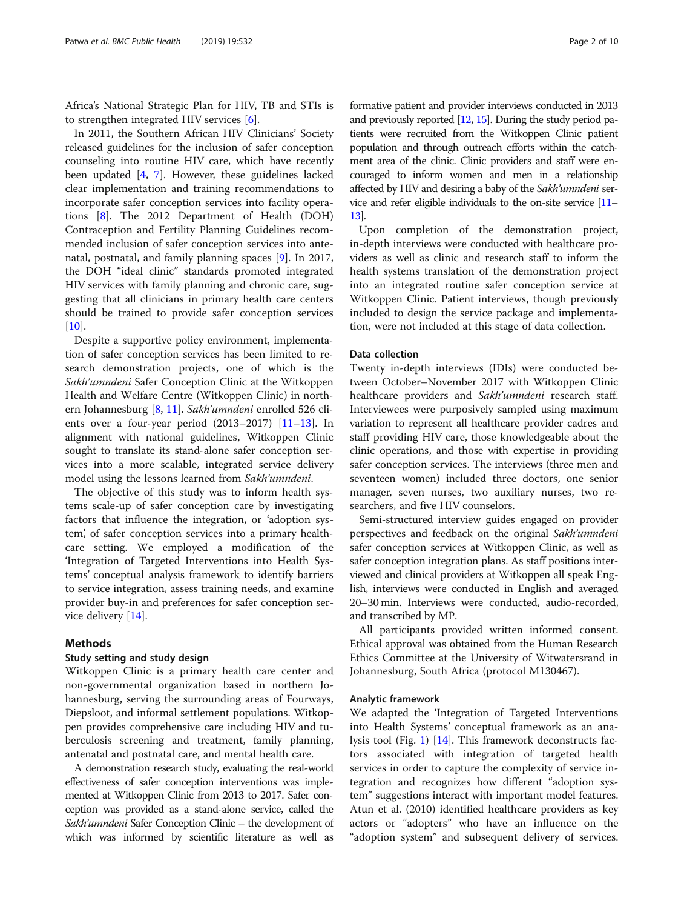Africa's National Strategic Plan for HIV, TB and STIs is to strengthen integrated HIV services [\[6\]](#page-9-0).

In 2011, the Southern African HIV Clinicians' Society released guidelines for the inclusion of safer conception counseling into routine HIV care, which have recently been updated [\[4](#page-8-0), [7](#page-9-0)]. However, these guidelines lacked clear implementation and training recommendations to incorporate safer conception services into facility operations [\[8](#page-9-0)]. The 2012 Department of Health (DOH) Contraception and Fertility Planning Guidelines recommended inclusion of safer conception services into antenatal, postnatal, and family planning spaces [\[9](#page-9-0)]. In 2017, the DOH "ideal clinic" standards promoted integrated HIV services with family planning and chronic care, suggesting that all clinicians in primary health care centers should be trained to provide safer conception services  $[10]$  $[10]$ .

Despite a supportive policy environment, implementation of safer conception services has been limited to research demonstration projects, one of which is the Sakh'umndeni Safer Conception Clinic at the Witkoppen Health and Welfare Centre (Witkoppen Clinic) in north-ern Johannesburg [[8,](#page-9-0) [11\]](#page-9-0). Sakh'umndeni enrolled 526 clients over a four-year period  $(2013–2017)$  $(2013–2017)$  $(2013–2017)$   $[11–13]$  $[11–13]$  $[11–13]$ . In alignment with national guidelines, Witkoppen Clinic sought to translate its stand-alone safer conception services into a more scalable, integrated service delivery model using the lessons learned from Sakh'umndeni.

The objective of this study was to inform health systems scale-up of safer conception care by investigating factors that influence the integration, or 'adoption system', of safer conception services into a primary healthcare setting. We employed a modification of the 'Integration of Targeted Interventions into Health Systems' conceptual analysis framework to identify barriers to service integration, assess training needs, and examine provider buy-in and preferences for safer conception service delivery [\[14](#page-9-0)].

## Methods

## Study setting and study design

Witkoppen Clinic is a primary health care center and non-governmental organization based in northern Johannesburg, serving the surrounding areas of Fourways, Diepsloot, and informal settlement populations. Witkoppen provides comprehensive care including HIV and tuberculosis screening and treatment, family planning, antenatal and postnatal care, and mental health care.

A demonstration research study, evaluating the real-world effectiveness of safer conception interventions was implemented at Witkoppen Clinic from 2013 to 2017. Safer conception was provided as a stand-alone service, called the Sakh'umndeni Safer Conception Clinic – the development of which was informed by scientific literature as well as

formative patient and provider interviews conducted in 2013 and previously reported [\[12](#page-9-0), [15\]](#page-9-0). During the study period patients were recruited from the Witkoppen Clinic patient population and through outreach efforts within the catchment area of the clinic. Clinic providers and staff were encouraged to inform women and men in a relationship affected by HIV and desiring a baby of the Sakh'umndeni service and refer eligible individuals to the on-site service [\[11](#page-9-0)– [13\]](#page-9-0).

Upon completion of the demonstration project, in-depth interviews were conducted with healthcare providers as well as clinic and research staff to inform the health systems translation of the demonstration project into an integrated routine safer conception service at Witkoppen Clinic. Patient interviews, though previously included to design the service package and implementation, were not included at this stage of data collection.

## Data collection

Twenty in-depth interviews (IDIs) were conducted between October–November 2017 with Witkoppen Clinic healthcare providers and Sakh'umndeni research staff. Interviewees were purposively sampled using maximum variation to represent all healthcare provider cadres and staff providing HIV care, those knowledgeable about the clinic operations, and those with expertise in providing safer conception services. The interviews (three men and seventeen women) included three doctors, one senior manager, seven nurses, two auxiliary nurses, two researchers, and five HIV counselors.

Semi-structured interview guides engaged on provider perspectives and feedback on the original Sakh'umndeni safer conception services at Witkoppen Clinic, as well as safer conception integration plans. As staff positions interviewed and clinical providers at Witkoppen all speak English, interviews were conducted in English and averaged 20–30 min. Interviews were conducted, audio-recorded, and transcribed by MP.

All participants provided written informed consent. Ethical approval was obtained from the Human Research Ethics Committee at the University of Witwatersrand in Johannesburg, South Africa (protocol M130467).

## Analytic framework

We adapted the 'Integration of Targeted Interventions into Health Systems' conceptual framework as an analysis tool (Fig. [1\)](#page-2-0) [\[14](#page-9-0)]. This framework deconstructs factors associated with integration of targeted health services in order to capture the complexity of service integration and recognizes how different "adoption system" suggestions interact with important model features. Atun et al. (2010) identified healthcare providers as key actors or "adopters" who have an influence on the "adoption system" and subsequent delivery of services.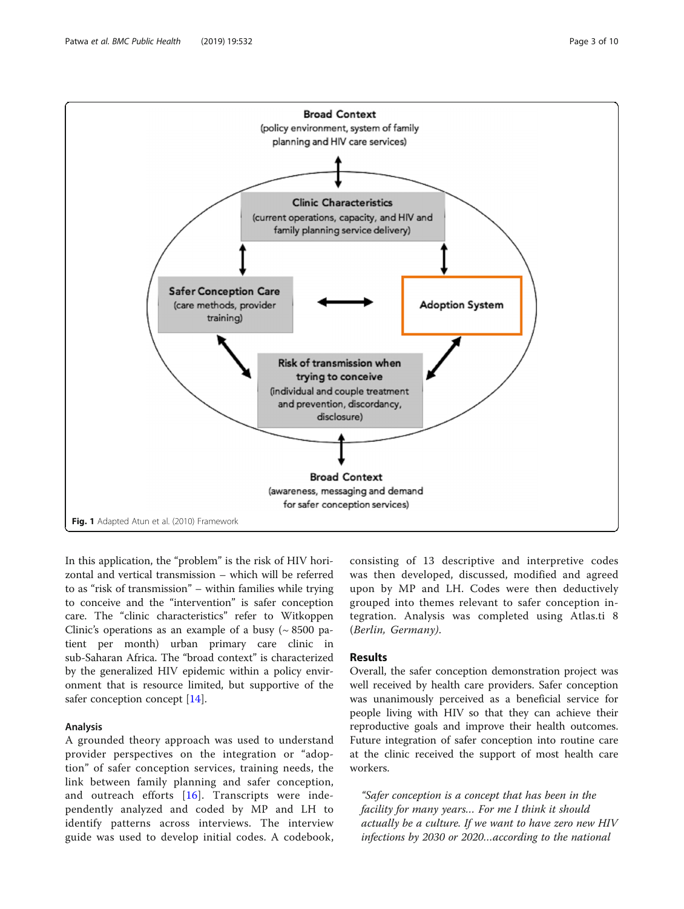<span id="page-2-0"></span>

In this application, the "problem" is the risk of HIV horizontal and vertical transmission – which will be referred to as "risk of transmission" – within families while trying to conceive and the "intervention" is safer conception care. The "clinic characteristics" refer to Witkoppen Clinic's operations as an example of a busy  $({\sim 8500 \text{ pa}}$ tient per month) urban primary care clinic in sub-Saharan Africa. The "broad context" is characterized by the generalized HIV epidemic within a policy environment that is resource limited, but supportive of the safer conception concept [\[14\]](#page-9-0).

## Analysis

A grounded theory approach was used to understand provider perspectives on the integration or "adoption" of safer conception services, training needs, the link between family planning and safer conception, and outreach efforts [[16](#page-9-0)]. Transcripts were independently analyzed and coded by MP and LH to identify patterns across interviews. The interview guide was used to develop initial codes. A codebook,

consisting of 13 descriptive and interpretive codes was then developed, discussed, modified and agreed upon by MP and LH. Codes were then deductively grouped into themes relevant to safer conception integration. Analysis was completed using Atlas.ti 8 (Berlin, Germany).

## Results

Overall, the safer conception demonstration project was well received by health care providers. Safer conception was unanimously perceived as a beneficial service for people living with HIV so that they can achieve their reproductive goals and improve their health outcomes. Future integration of safer conception into routine care at the clinic received the support of most health care workers.

"Safer conception is a concept that has been in the facility for many years… For me I think it should actually be a culture. If we want to have zero new HIV infections by 2030 or 2020…according to the national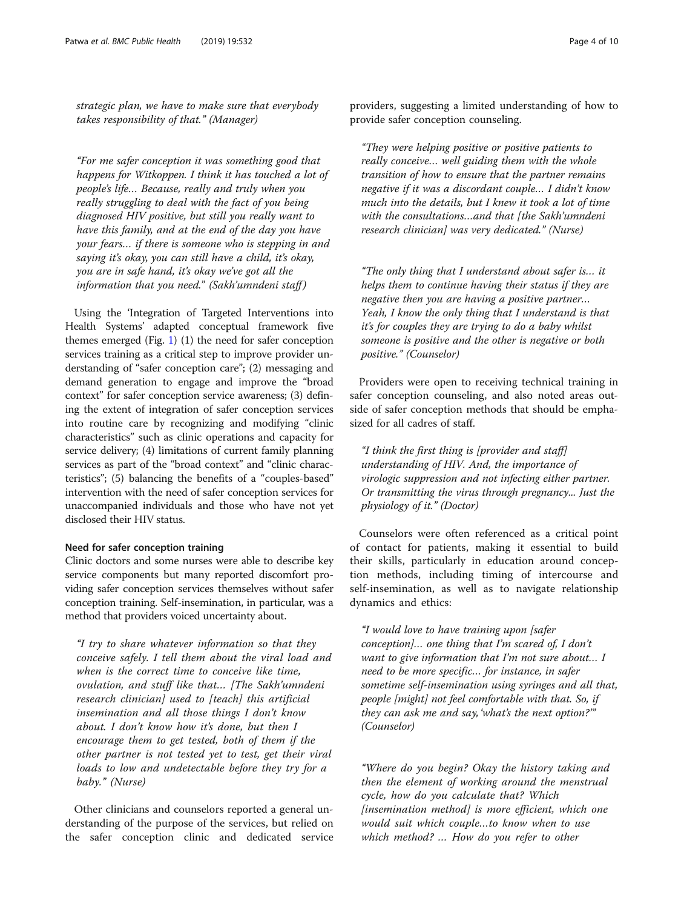strategic plan, we have to make sure that everybody takes responsibility of that." (Manager)

"For me safer conception it was something good that happens for Witkoppen. I think it has touched a lot of people's life… Because, really and truly when you really struggling to deal with the fact of you being diagnosed HIV positive, but still you really want to have this family, and at the end of the day you have your fears… if there is someone who is stepping in and saying it's okay, you can still have a child, it's okay, you are in safe hand, it's okay we've got all the information that you need." (Sakh'umndeni staff)

Using the 'Integration of Targeted Interventions into Health Systems' adapted conceptual framework five themes emerged (Fig. [1](#page-2-0))  $(1)$  the need for safer conception services training as a critical step to improve provider understanding of "safer conception care"; (2) messaging and demand generation to engage and improve the "broad context" for safer conception service awareness; (3) defining the extent of integration of safer conception services into routine care by recognizing and modifying "clinic characteristics" such as clinic operations and capacity for service delivery; (4) limitations of current family planning services as part of the "broad context" and "clinic characteristics"; (5) balancing the benefits of a "couples-based" intervention with the need of safer conception services for unaccompanied individuals and those who have not yet disclosed their HIV status.

## Need for safer conception training

Clinic doctors and some nurses were able to describe key service components but many reported discomfort providing safer conception services themselves without safer conception training. Self-insemination, in particular, was a method that providers voiced uncertainty about.

"I try to share whatever information so that they conceive safely. I tell them about the viral load and when is the correct time to conceive like time, ovulation, and stuff like that… [The Sakh'umndeni research clinician] used to [teach] this artificial insemination and all those things I don't know about. I don't know how it's done, but then I encourage them to get tested, both of them if the other partner is not tested yet to test, get their viral loads to low and undetectable before they try for a baby." (Nurse)

Other clinicians and counselors reported a general understanding of the purpose of the services, but relied on the safer conception clinic and dedicated service

providers, suggesting a limited understanding of how to provide safer conception counseling.

"They were helping positive or positive patients to really conceive… well guiding them with the whole transition of how to ensure that the partner remains negative if it was a discordant couple… I didn't know much into the details, but I knew it took a lot of time with the consultations...and that [the Sakh'umndeni research clinician] was very dedicated." (Nurse)

"The only thing that I understand about safer is… it helps them to continue having their status if they are negative then you are having a positive partner… Yeah, I know the only thing that I understand is that it's for couples they are trying to do a baby whilst someone is positive and the other is negative or both positive." (Counselor)

Providers were open to receiving technical training in safer conception counseling, and also noted areas outside of safer conception methods that should be emphasized for all cadres of staff.

"I think the first thing is [provider and staff] understanding of HIV. And, the importance of virologic suppression and not infecting either partner. Or transmitting the virus through pregnancy... Just the physiology of it." (Doctor)

Counselors were often referenced as a critical point of contact for patients, making it essential to build their skills, particularly in education around conception methods, including timing of intercourse and self-insemination, as well as to navigate relationship dynamics and ethics:

"I would love to have training upon [safer conception]… one thing that I'm scared of, I don't want to give information that I'm not sure about… I need to be more specific… for instance, in safer sometime self-insemination using syringes and all that, people [might] not feel comfortable with that. So, if they can ask me and say, 'what's the next option?'" (Counselor)

"Where do you begin? Okay the history taking and then the element of working around the menstrual cycle, how do you calculate that? Which [insemination method] is more efficient, which one would suit which couple…to know when to use which method? … How do you refer to other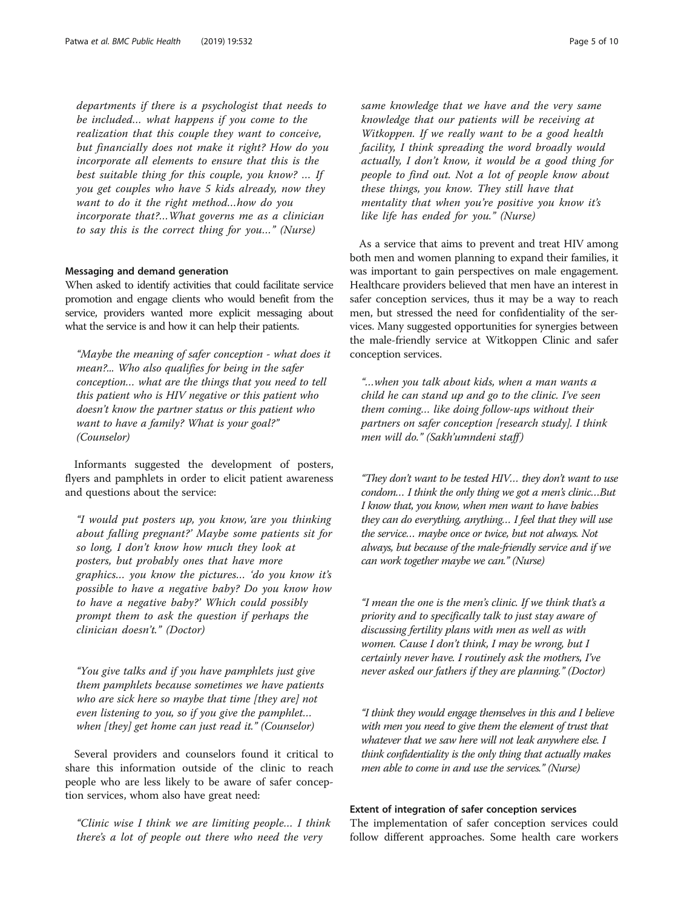departments if there is a psychologist that needs to be included… what happens if you come to the realization that this couple they want to conceive, but financially does not make it right? How do you incorporate all elements to ensure that this is the best suitable thing for this couple, you know? … If you get couples who have 5 kids already, now they want to do it the right method…how do you incorporate that?…What governs me as a clinician to say this is the correct thing for you…" (Nurse)

## Messaging and demand generation

When asked to identify activities that could facilitate service promotion and engage clients who would benefit from the service, providers wanted more explicit messaging about what the service is and how it can help their patients.

"Maybe the meaning of safer conception - what does it mean?... Who also qualifies for being in the safer conception… what are the things that you need to tell this patient who is HIV negative or this patient who doesn't know the partner status or this patient who want to have a family? What is your goal?" (Counselor)

Informants suggested the development of posters, flyers and pamphlets in order to elicit patient awareness and questions about the service:

"I would put posters up, you know, 'are you thinking about falling pregnant?' Maybe some patients sit for so long, I don't know how much they look at posters, but probably ones that have more graphics… you know the pictures… 'do you know it's possible to have a negative baby? Do you know how to have a negative baby?' Which could possibly prompt them to ask the question if perhaps the clinician doesn't." (Doctor)

"You give talks and if you have pamphlets just give them pamphlets because sometimes we have patients who are sick here so maybe that time [they are] not even listening to you, so if you give the pamphlet… when [they] get home can just read it." (Counselor)

Several providers and counselors found it critical to share this information outside of the clinic to reach people who are less likely to be aware of safer conception services, whom also have great need:

"Clinic wise I think we are limiting people… I think there's a lot of people out there who need the very

same knowledge that we have and the very same knowledge that our patients will be receiving at Witkoppen. If we really want to be a good health facility, I think spreading the word broadly would actually, I don't know, it would be a good thing for people to find out. Not a lot of people know about these things, you know. They still have that mentality that when you're positive you know it's like life has ended for you." (Nurse)

As a service that aims to prevent and treat HIV among both men and women planning to expand their families, it was important to gain perspectives on male engagement. Healthcare providers believed that men have an interest in safer conception services, thus it may be a way to reach men, but stressed the need for confidentiality of the services. Many suggested opportunities for synergies between the male-friendly service at Witkoppen Clinic and safer conception services.

"…when you talk about kids, when a man wants a child he can stand up and go to the clinic. I've seen them coming… like doing follow-ups without their partners on safer conception [research study]. I think men will do." (Sakh'umndeni staff)

"They don't want to be tested HIV… they don't want to use condom… I think the only thing we got a men's clinic…But I know that, you know, when men want to have babies they can do everything, anything… I feel that they will use the service… maybe once or twice, but not always. Not always, but because of the male-friendly service and if we can work together maybe we can." (Nurse)

"I mean the one is the men's clinic. If we think that's a priority and to specifically talk to just stay aware of discussing fertility plans with men as well as with women. Cause I don't think, I may be wrong, but I certainly never have. I routinely ask the mothers, I've never asked our fathers if they are planning." (Doctor)

"I think they would engage themselves in this and I believe with men you need to give them the element of trust that whatever that we saw here will not leak anywhere else. I think confidentiality is the only thing that actually makes men able to come in and use the services." (Nurse)

## Extent of integration of safer conception services

The implementation of safer conception services could follow different approaches. Some health care workers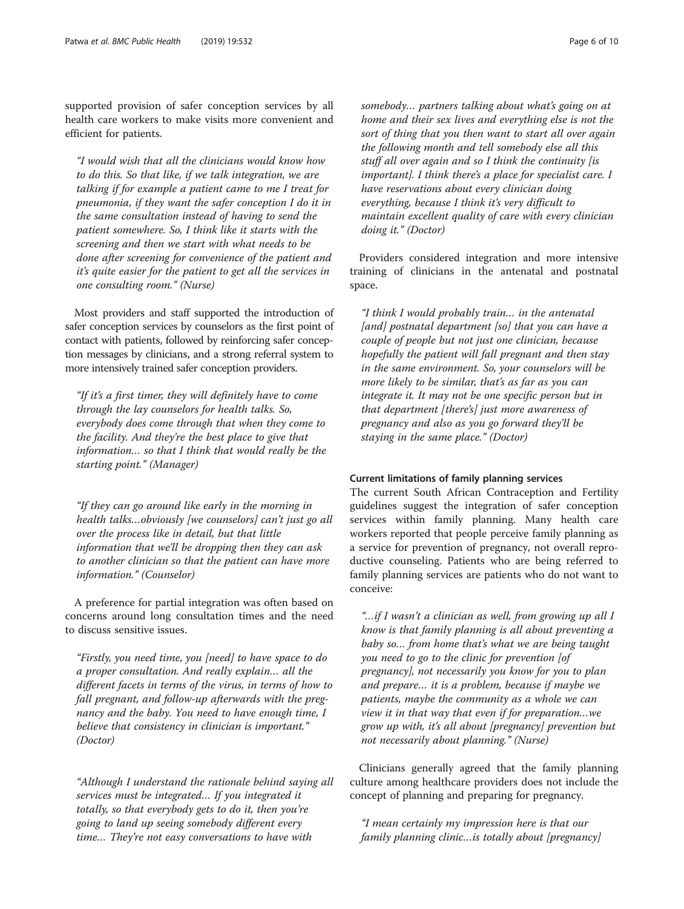supported provision of safer conception services by all health care workers to make visits more convenient and efficient for patients.

"I would wish that all the clinicians would know how to do this. So that like, if we talk integration, we are talking if for example a patient came to me I treat for pneumonia, if they want the safer conception I do it in the same consultation instead of having to send the patient somewhere. So, I think like it starts with the screening and then we start with what needs to be done after screening for convenience of the patient and it's quite easier for the patient to get all the services in one consulting room." (Nurse)

Most providers and staff supported the introduction of safer conception services by counselors as the first point of contact with patients, followed by reinforcing safer conception messages by clinicians, and a strong referral system to more intensively trained safer conception providers.

"If it's a first timer, they will definitely have to come through the lay counselors for health talks. So, everybody does come through that when they come to the facility. And they're the best place to give that information… so that I think that would really be the starting point." (Manager)

"If they can go around like early in the morning in health talks…obviously [we counselors] can't just go all over the process like in detail, but that little information that we'll be dropping then they can ask to another clinician so that the patient can have more information." (Counselor)

A preference for partial integration was often based on concerns around long consultation times and the need to discuss sensitive issues.

"Firstly, you need time, you [need] to have space to do a proper consultation. And really explain… all the different facets in terms of the virus, in terms of how to fall pregnant, and follow-up afterwards with the pregnancy and the baby. You need to have enough time, I believe that consistency in clinician is important." (Doctor)

"Although I understand the rationale behind saying all services must be integrated… If you integrated it totally, so that everybody gets to do it, then you're going to land up seeing somebody different every time… They're not easy conversations to have with

somebody… partners talking about what's going on at home and their sex lives and everything else is not the sort of thing that you then want to start all over again the following month and tell somebody else all this stuff all over again and so I think the continuity [is important]. I think there's a place for specialist care. I have reservations about every clinician doing everything, because I think it's very difficult to maintain excellent quality of care with every clinician doing it." (Doctor)

Providers considered integration and more intensive training of clinicians in the antenatal and postnatal space.

"I think I would probably train… in the antenatal [and] postnatal department [so] that you can have a couple of people but not just one clinician, because hopefully the patient will fall pregnant and then stay in the same environment. So, your counselors will be more likely to be similar, that's as far as you can integrate it. It may not be one specific person but in that department [there's] just more awareness of pregnancy and also as you go forward they'll be staying in the same place." (Doctor)

## Current limitations of family planning services

The current South African Contraception and Fertility guidelines suggest the integration of safer conception services within family planning. Many health care workers reported that people perceive family planning as a service for prevention of pregnancy, not overall reproductive counseling. Patients who are being referred to family planning services are patients who do not want to conceive:

"…if I wasn't a clinician as well, from growing up all I know is that family planning is all about preventing a baby so… from home that's what we are being taught you need to go to the clinic for prevention [of pregnancy], not necessarily you know for you to plan and prepare… it is a problem, because if maybe we patients, maybe the community as a whole we can view it in that way that even if for preparation…we grow up with, it's all about [pregnancy] prevention but not necessarily about planning." (Nurse)

Clinicians generally agreed that the family planning culture among healthcare providers does not include the concept of planning and preparing for pregnancy.

"I mean certainly my impression here is that our family planning clinic…is totally about [pregnancy]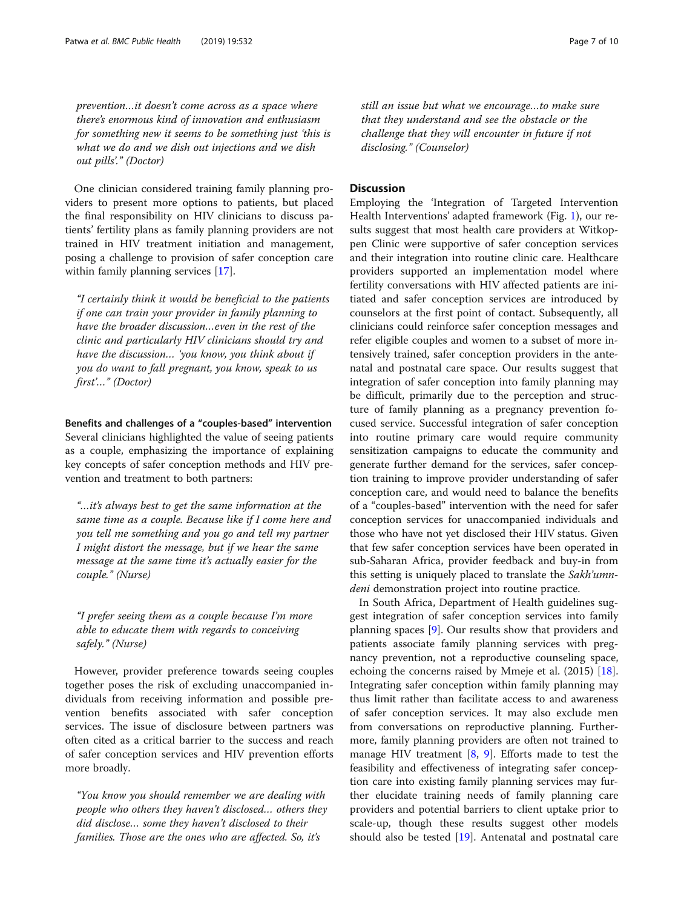prevention…it doesn't come across as a space where there's enormous kind of innovation and enthusiasm for something new it seems to be something just 'this is what we do and we dish out injections and we dish out pills'." (Doctor)

One clinician considered training family planning providers to present more options to patients, but placed the final responsibility on HIV clinicians to discuss patients' fertility plans as family planning providers are not trained in HIV treatment initiation and management, posing a challenge to provision of safer conception care within family planning services [[17\]](#page-9-0).

"I certainly think it would be beneficial to the patients if one can train your provider in family planning to have the broader discussion…even in the rest of the clinic and particularly HIV clinicians should try and have the discussion… 'you know, you think about if you do want to fall pregnant, you know, speak to us first'…" (Doctor)

Benefits and challenges of a "couples-based" intervention Several clinicians highlighted the value of seeing patients as a couple, emphasizing the importance of explaining key concepts of safer conception methods and HIV prevention and treatment to both partners:

"…it's always best to get the same information at the same time as a couple. Because like if I come here and you tell me something and you go and tell my partner I might distort the message, but if we hear the same message at the same time it's actually easier for the couple." (Nurse)

"I prefer seeing them as a couple because I'm more able to educate them with regards to conceiving safely." (Nurse)

However, provider preference towards seeing couples together poses the risk of excluding unaccompanied individuals from receiving information and possible prevention benefits associated with safer conception services. The issue of disclosure between partners was often cited as a critical barrier to the success and reach of safer conception services and HIV prevention efforts more broadly.

"You know you should remember we are dealing with people who others they haven't disclosed… others they did disclose… some they haven't disclosed to their families. Those are the ones who are affected. So, it's

still an issue but what we encourage…to make sure that they understand and see the obstacle or the challenge that they will encounter in future if not disclosing." (Counselor)

## **Discussion**

Employing the 'Integration of Targeted Intervention Health Interventions' adapted framework (Fig. [1\)](#page-2-0), our results suggest that most health care providers at Witkoppen Clinic were supportive of safer conception services and their integration into routine clinic care. Healthcare providers supported an implementation model where fertility conversations with HIV affected patients are initiated and safer conception services are introduced by counselors at the first point of contact. Subsequently, all clinicians could reinforce safer conception messages and refer eligible couples and women to a subset of more intensively trained, safer conception providers in the antenatal and postnatal care space. Our results suggest that integration of safer conception into family planning may be difficult, primarily due to the perception and structure of family planning as a pregnancy prevention focused service. Successful integration of safer conception into routine primary care would require community sensitization campaigns to educate the community and generate further demand for the services, safer conception training to improve provider understanding of safer conception care, and would need to balance the benefits of a "couples-based" intervention with the need for safer conception services for unaccompanied individuals and those who have not yet disclosed their HIV status. Given that few safer conception services have been operated in sub-Saharan Africa, provider feedback and buy-in from this setting is uniquely placed to translate the Sakh'umndeni demonstration project into routine practice.

In South Africa, Department of Health guidelines suggest integration of safer conception services into family planning spaces [[9\]](#page-9-0). Our results show that providers and patients associate family planning services with pregnancy prevention, not a reproductive counseling space, echoing the concerns raised by Mmeje et al. (2015) [\[18](#page-9-0)]. Integrating safer conception within family planning may thus limit rather than facilitate access to and awareness of safer conception services. It may also exclude men from conversations on reproductive planning. Furthermore, family planning providers are often not trained to manage HIV treatment  $[8, 9]$  $[8, 9]$  $[8, 9]$  $[8, 9]$ . Efforts made to test the feasibility and effectiveness of integrating safer conception care into existing family planning services may further elucidate training needs of family planning care providers and potential barriers to client uptake prior to scale-up, though these results suggest other models should also be tested [[19](#page-9-0)]. Antenatal and postnatal care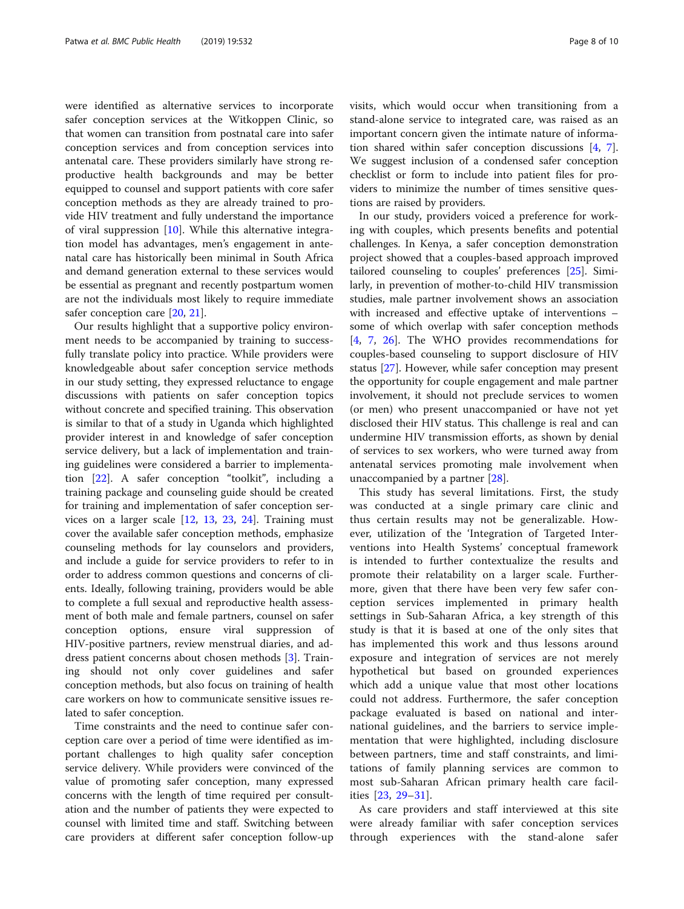were identified as alternative services to incorporate safer conception services at the Witkoppen Clinic, so that women can transition from postnatal care into safer conception services and from conception services into antenatal care. These providers similarly have strong reproductive health backgrounds and may be better equipped to counsel and support patients with core safer conception methods as they are already trained to provide HIV treatment and fully understand the importance of viral suppression [[10\]](#page-9-0). While this alternative integration model has advantages, men's engagement in antenatal care has historically been minimal in South Africa and demand generation external to these services would be essential as pregnant and recently postpartum women are not the individuals most likely to require immediate safer conception care [[20,](#page-9-0) [21\]](#page-9-0).

Our results highlight that a supportive policy environment needs to be accompanied by training to successfully translate policy into practice. While providers were knowledgeable about safer conception service methods in our study setting, they expressed reluctance to engage discussions with patients on safer conception topics without concrete and specified training. This observation is similar to that of a study in Uganda which highlighted provider interest in and knowledge of safer conception service delivery, but a lack of implementation and training guidelines were considered a barrier to implementation [\[22](#page-9-0)]. A safer conception "toolkit", including a training package and counseling guide should be created for training and implementation of safer conception services on a larger scale [[12](#page-9-0), [13,](#page-9-0) [23,](#page-9-0) [24](#page-9-0)]. Training must cover the available safer conception methods, emphasize counseling methods for lay counselors and providers, and include a guide for service providers to refer to in order to address common questions and concerns of clients. Ideally, following training, providers would be able to complete a full sexual and reproductive health assessment of both male and female partners, counsel on safer conception options, ensure viral suppression of HIV-positive partners, review menstrual diaries, and address patient concerns about chosen methods [\[3\]](#page-8-0). Training should not only cover guidelines and safer conception methods, but also focus on training of health care workers on how to communicate sensitive issues related to safer conception.

Time constraints and the need to continue safer conception care over a period of time were identified as important challenges to high quality safer conception service delivery. While providers were convinced of the value of promoting safer conception, many expressed concerns with the length of time required per consultation and the number of patients they were expected to counsel with limited time and staff. Switching between care providers at different safer conception follow-up visits, which would occur when transitioning from a stand-alone service to integrated care, was raised as an important concern given the intimate nature of information shared within safer conception discussions [\[4](#page-8-0), [7](#page-9-0)]. We suggest inclusion of a condensed safer conception checklist or form to include into patient files for providers to minimize the number of times sensitive questions are raised by providers.

In our study, providers voiced a preference for working with couples, which presents benefits and potential challenges. In Kenya, a safer conception demonstration project showed that a couples-based approach improved tailored counseling to couples' preferences [\[25](#page-9-0)]. Similarly, in prevention of mother-to-child HIV transmission studies, male partner involvement shows an association with increased and effective uptake of interventions – some of which overlap with safer conception methods [[4,](#page-8-0) [7,](#page-9-0) [26](#page-9-0)]. The WHO provides recommendations for couples-based counseling to support disclosure of HIV status [\[27](#page-9-0)]. However, while safer conception may present the opportunity for couple engagement and male partner involvement, it should not preclude services to women (or men) who present unaccompanied or have not yet disclosed their HIV status. This challenge is real and can undermine HIV transmission efforts, as shown by denial of services to sex workers, who were turned away from antenatal services promoting male involvement when unaccompanied by a partner [[28\]](#page-9-0).

This study has several limitations. First, the study was conducted at a single primary care clinic and thus certain results may not be generalizable. However, utilization of the 'Integration of Targeted Interventions into Health Systems' conceptual framework is intended to further contextualize the results and promote their relatability on a larger scale. Furthermore, given that there have been very few safer conception services implemented in primary health settings in Sub-Saharan Africa, a key strength of this study is that it is based at one of the only sites that has implemented this work and thus lessons around exposure and integration of services are not merely hypothetical but based on grounded experiences which add a unique value that most other locations could not address. Furthermore, the safer conception package evaluated is based on national and international guidelines, and the barriers to service implementation that were highlighted, including disclosure between partners, time and staff constraints, and limitations of family planning services are common to most sub-Saharan African primary health care facilities [[23,](#page-9-0) [29](#page-9-0)–[31\]](#page-9-0).

As care providers and staff interviewed at this site were already familiar with safer conception services through experiences with the stand-alone safer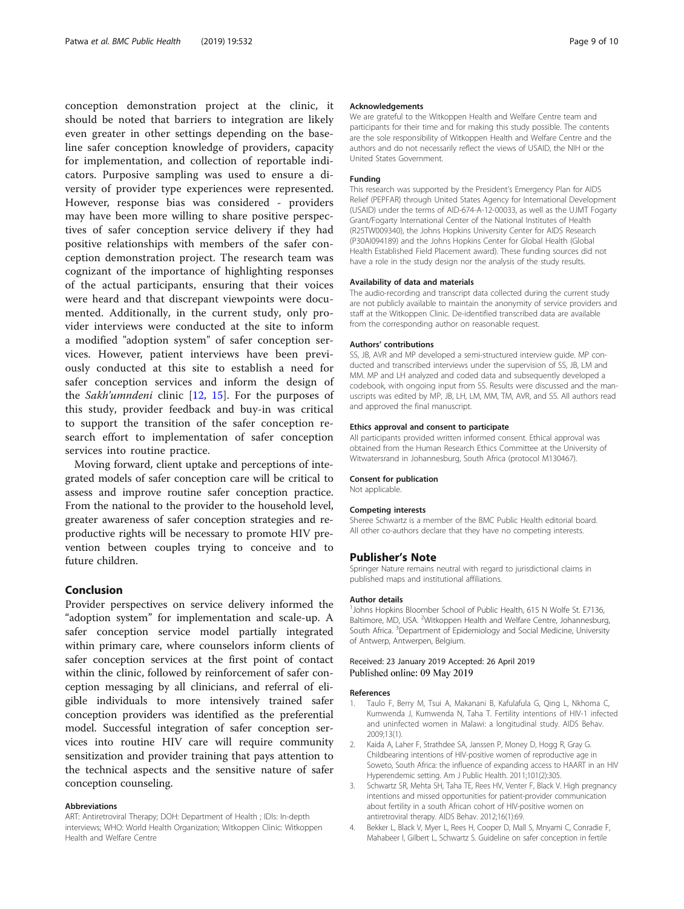<span id="page-8-0"></span>conception demonstration project at the clinic, it should be noted that barriers to integration are likely even greater in other settings depending on the baseline safer conception knowledge of providers, capacity for implementation, and collection of reportable indicators. Purposive sampling was used to ensure a diversity of provider type experiences were represented. However, response bias was considered - providers may have been more willing to share positive perspectives of safer conception service delivery if they had positive relationships with members of the safer conception demonstration project. The research team was cognizant of the importance of highlighting responses of the actual participants, ensuring that their voices were heard and that discrepant viewpoints were documented. Additionally, in the current study, only provider interviews were conducted at the site to inform a modified "adoption system" of safer conception services. However, patient interviews have been previously conducted at this site to establish a need for safer conception services and inform the design of the Sakh'umndeni clinic  $[12, 15]$  $[12, 15]$  $[12, 15]$  $[12, 15]$  $[12, 15]$ . For the purposes of this study, provider feedback and buy-in was critical to support the transition of the safer conception research effort to implementation of safer conception services into routine practice.

Moving forward, client uptake and perceptions of integrated models of safer conception care will be critical to assess and improve routine safer conception practice. From the national to the provider to the household level, greater awareness of safer conception strategies and reproductive rights will be necessary to promote HIV prevention between couples trying to conceive and to future children.

## Conclusion

Provider perspectives on service delivery informed the "adoption system" for implementation and scale-up. A safer conception service model partially integrated within primary care, where counselors inform clients of safer conception services at the first point of contact within the clinic, followed by reinforcement of safer conception messaging by all clinicians, and referral of eligible individuals to more intensively trained safer conception providers was identified as the preferential model. Successful integration of safer conception services into routine HIV care will require community sensitization and provider training that pays attention to the technical aspects and the sensitive nature of safer conception counseling.

### Abbreviations

ART: Antiretroviral Therapy; DOH: Department of Health ; IDIs: In-depth interviews; WHO: World Health Organization; Witkoppen Clinic: Witkoppen Health and Welfare Centre

## Acknowledgements

We are grateful to the Witkoppen Health and Welfare Centre team and participants for their time and for making this study possible. The contents are the sole responsibility of Witkoppen Health and Welfare Centre and the authors and do not necessarily reflect the views of USAID, the NIH or the United States Government.

## Funding

This research was supported by the President's Emergency Plan for AIDS Relief (PEPFAR) through United States Agency for International Development (USAID) under the terms of AID-674-A-12-00033, as well as the UJMT Fogarty Grant/Fogarty International Center of the National Institutes of Health (R25TW009340), the Johns Hopkins University Center for AIDS Research (P30AI094189) and the Johns Hopkins Center for Global Health (Global Health Established Field Placement award). These funding sources did not have a role in the study design nor the analysis of the study results.

## Availability of data and materials

The audio-recording and transcript data collected during the current study are not publicly available to maintain the anonymity of service providers and staff at the Witkoppen Clinic. De-identified transcribed data are available from the corresponding author on reasonable request.

## Authors' contributions

SS, JB, AVR and MP developed a semi-structured interview guide. MP conducted and transcribed interviews under the supervision of SS, JB, LM and MM. MP and LH analyzed and coded data and subsequently developed a codebook, with ongoing input from SS. Results were discussed and the manuscripts was edited by MP, JB, LH, LM, MM, TM, AVR, and SS. All authors read and approved the final manuscript.

## Ethics approval and consent to participate

All participants provided written informed consent. Ethical approval was obtained from the Human Research Ethics Committee at the University of Witwatersrand in Johannesburg, South Africa (protocol M130467).

## Consent for publication

Not applicable.

## Competing interests

Sheree Schwartz is a member of the BMC Public Health editorial board. All other co-authors declare that they have no competing interests.

## Publisher's Note

Springer Nature remains neutral with regard to jurisdictional claims in published maps and institutional affiliations.

## Author details

<sup>1</sup> Johns Hopkins Bloomber School of Public Health, 615 N Wolfe St. E7136 Baltimore, MD, USA. <sup>2</sup>Witkoppen Health and Welfare Centre, Johannesburg, South Africa. <sup>3</sup>Department of Epidemiology and Social Medicine, University of Antwerp, Antwerpen, Belgium.

## Received: 23 January 2019 Accepted: 26 April 2019 Published online: 09 May 2019

## References

- 1. Taulo F, Berry M, Tsui A, Makanani B, Kafulafula G, Qing L, Nkhoma C, Kumwenda J, Kumwenda N, Taha T. Fertility intentions of HIV-1 infected and uninfected women in Malawi: a longitudinal study. AIDS Behav. 2009;13(1).
- 2. Kaida A, Laher F, Strathdee SA, Janssen P, Money D, Hogg R, Gray G. Childbearing intentions of HIV-positive women of reproductive age in Soweto, South Africa: the influence of expanding access to HAART in an HIV Hyperendemic setting. Am J Public Health. 2011;101(2):305.
- 3. Schwartz SR, Mehta SH, Taha TE, Rees HV, Venter F, Black V. High pregnancy intentions and missed opportunities for patient-provider communication about fertility in a south African cohort of HIV-positive women on antiretroviral therapy. AIDS Behav. 2012;16(1):69.
- 4. Bekker L, Black V, Myer L, Rees H, Cooper D, Mall S, Mnyami C, Conradie F, Mahabeer I, Gilbert L, Schwartz S. Guideline on safer conception in fertile